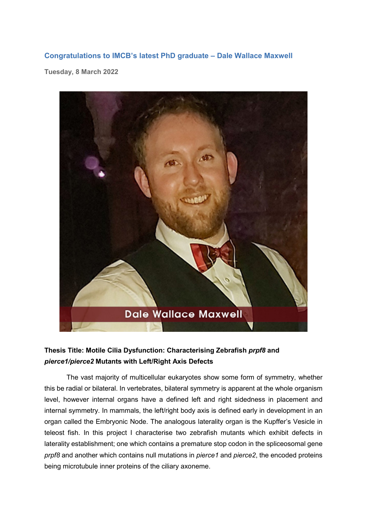## **Congratulations to IMCB's latest PhD graduate – Dale Wallace Maxwell**

**Tuesday, 8 March 2022**



## **Thesis Title: Motile Cilia Dysfunction: Characterising Zebrafish** *prpf8* **and** *pierce1/pierce2* **Mutants with Left/Right Axis Defects**

The vast majority of multicellular eukaryotes show some form of symmetry, whether this be radial or bilateral. In vertebrates, bilateral symmetry is apparent at the whole organism level, however internal organs have a defined left and right sidedness in placement and internal symmetry. In mammals, the left/right body axis is defined early in development in an organ called the Embryonic Node. The analogous laterality organ is the Kupffer's Vesicle in teleost fish. In this project I characterise two zebrafish mutants which exhibit defects in laterality establishment; one which contains a premature stop codon in the spliceosomal gene *prpf8* and another which contains null mutations in *pierce1* and *pierce2*, the encoded proteins being microtubule inner proteins of the ciliary axoneme.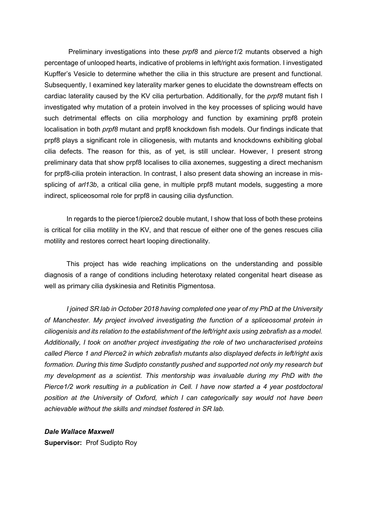Preliminary investigations into these *prpf8* and *pierce1*/2 mutants observed a high percentage of unlooped hearts, indicative of problems in left/right axis formation. I investigated Kupffer's Vesicle to determine whether the cilia in this structure are present and functional. Subsequently, I examined key laterality marker genes to elucidate the downstream effects on cardiac laterality caused by the KV cilia perturbation. Additionally, for the *prpf8* mutant fish I investigated why mutation of a protein involved in the key processes of splicing would have such detrimental effects on cilia morphology and function by examining prpf8 protein localisation in both *prpf8* mutant and prpf8 knockdown fish models. Our findings indicate that prpf8 plays a significant role in ciliogenesis, with mutants and knockdowns exhibiting global cilia defects. The reason for this, as of yet, is still unclear. However, I present strong preliminary data that show prpf8 localises to cilia axonemes, suggesting a direct mechanism for prpf8-cilia protein interaction. In contrast, I also present data showing an increase in missplicing of *arl13b*, a critical cilia gene, in multiple prpf8 mutant models, suggesting a more indirect, spliceosomal role for prpf8 in causing cilia dysfunction.

In regards to the pierce1/pierce2 double mutant, I show that loss of both these proteins is critical for cilia motility in the KV, and that rescue of either one of the genes rescues cilia motility and restores correct heart looping directionality.

This project has wide reaching implications on the understanding and possible diagnosis of a range of conditions including heterotaxy related congenital heart disease as well as primary cilia dyskinesia and Retinitis Pigmentosa.

*I joined SR lab in October 2018 having completed one year of my PhD at the University of Manchester. My project involved investigating the function of a spliceosomal protein in ciliogenisis and its relation to the establishment of the left/right axis using zebrafish as a model. Additionally, I took on another project investigating the role of two uncharacterised proteins called Pierce 1 and Pierce2 in which zebrafish mutants also displayed defects in left/right axis formation. During this time Sudipto constantly pushed and supported not only my research but my development as a scientist. This mentorship was invaluable during my PhD with the Pierce1/2 work resulting in a publication in Cell. I have now started a 4 year postdoctoral position at the University of Oxford, which I can categorically say would not have been achievable without the skills and mindset fostered in SR lab.*

*Dale Wallace Maxwell* **Supervisor:** Prof Sudipto Roy